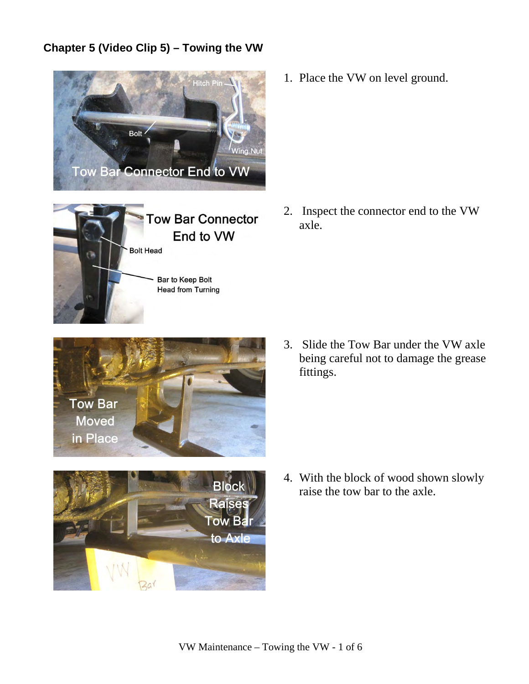## **Chapter 5 (Video Clip 5) – Towing the VW**





1. Place the VW on level ground.

2. Inspect the connector end to the VW axle.



3. Slide the Tow Bar under the VW axle being careful not to damage the grease fittings.



4. With the block of wood shown slowly raise the tow bar to the axle.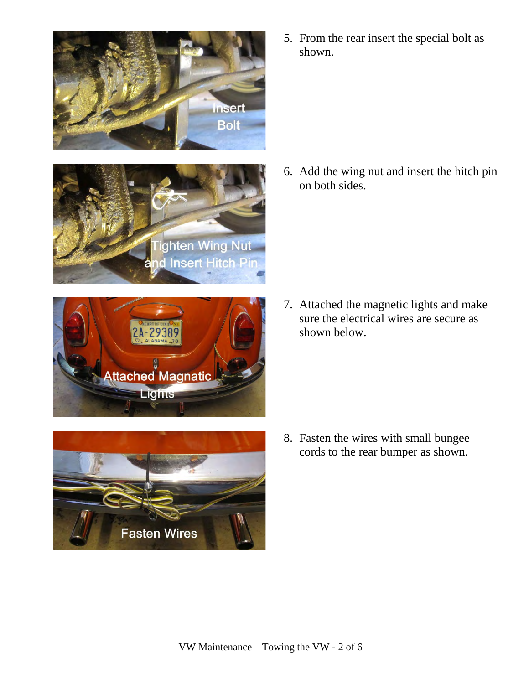





**Fasten Wires** 

5. From the rear insert the special bolt as shown.

6. Add the wing nut and insert the hitch pin on both sides.

7. Attached the magnetic lights and make sure the electrical wires are secure as shown below.

8. Fasten the wires with small bungee cords to the rear bumper as shown.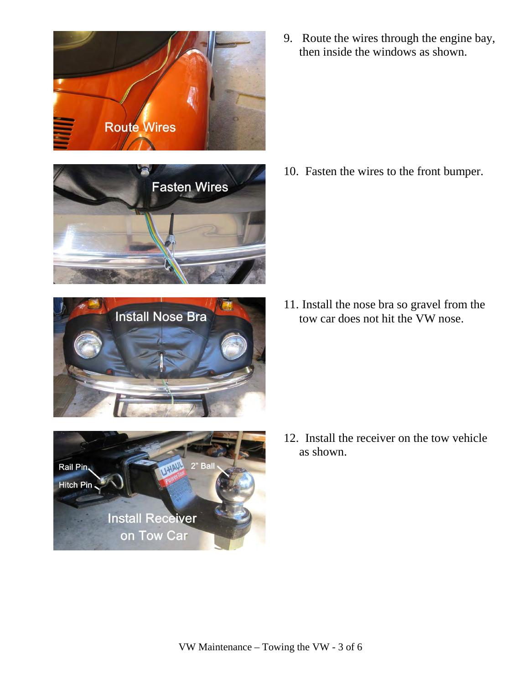







9. Route the wires through the engine bay, then inside the windows as shown.

10. Fasten the wires to the front bumper.

11. Install the nose bra so gravel from the tow car does not hit the VW nose.

12. Install the receiver on the tow vehicle as shown.

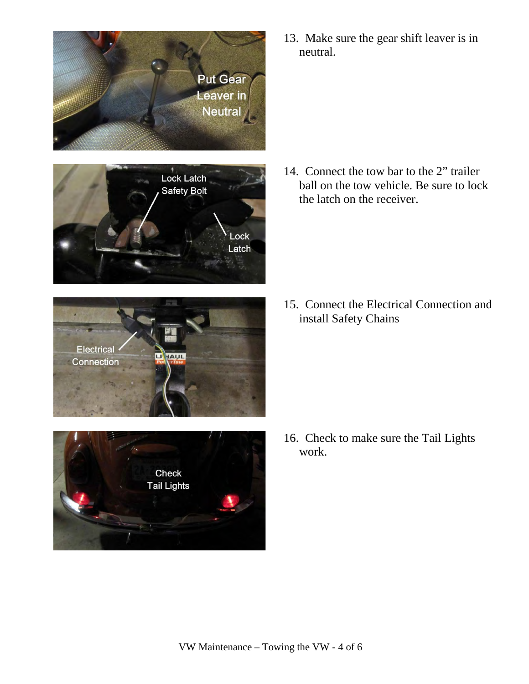







13. Make sure the gear shift leaver is in neutral.

14. Connect the tow bar to the 2" trailer ball on the tow vehicle. Be sure to lock the latch on the receiver.

15. Connect the Electrical Connection and install Safety Chains

16. Check to make sure the Tail Lights work.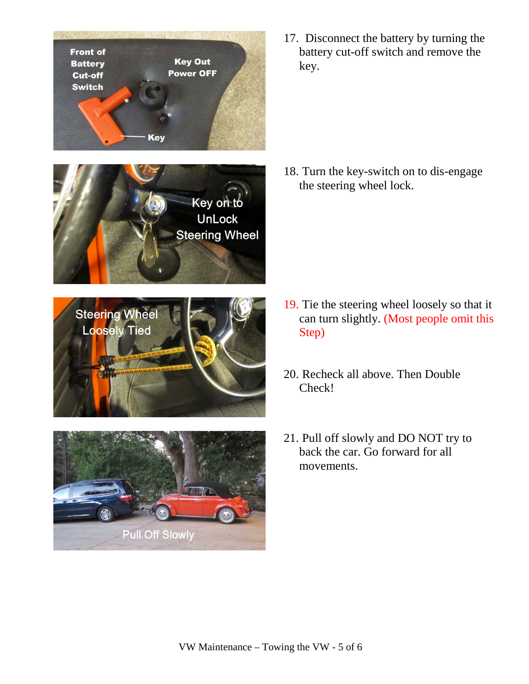**Front of Key Out Battery Power OFF** Cut-off **Switch Key** Key on to **UnLock Steering Wheel Steering Wheel Loosely Tied Pull Off Slowly** 

17. Disconnect the battery by turning the battery cut-off switch and remove the key.

18. Turn the key-switch on to dis-engage the steering wheel lock.

- 19. Tie the steering wheel loosely so that it can turn slightly. (Most people omit this Step)
- 20. Recheck all above. Then Double Check!
- 21. Pull off slowly and DO NOT try to back the car. Go forward for all movements.